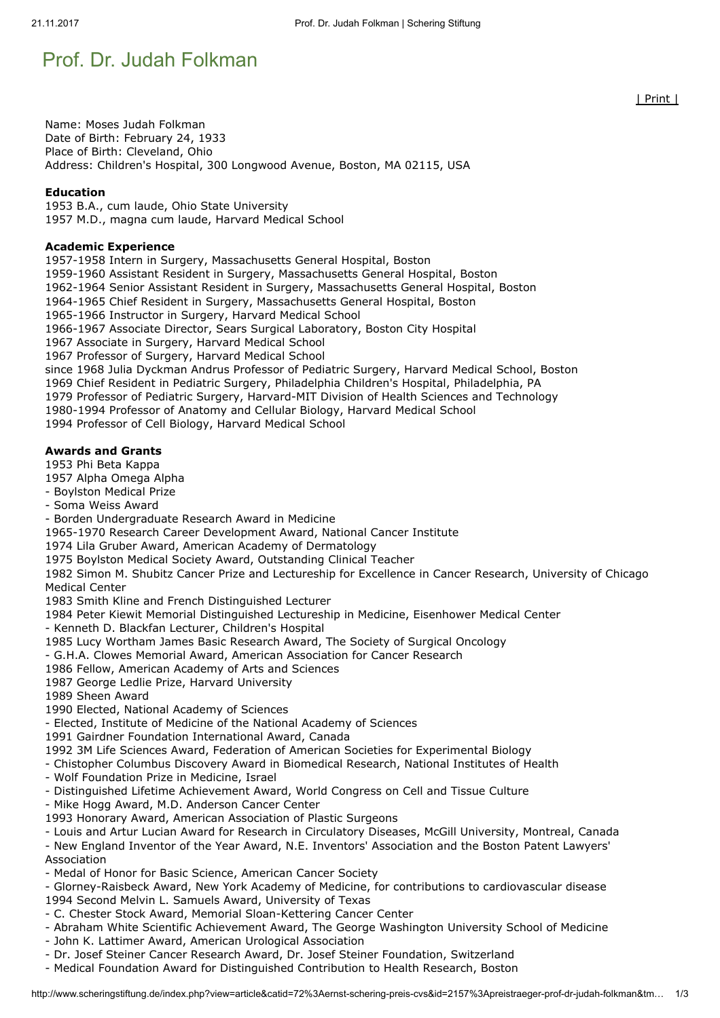# Prof. Dr. Judah Folkman

Name: Moses Judah Folkman Date of Birth: February 24, 1933 Place of Birth: Cleveland, Ohio Address: Children's Hospital, 300 Longwood Avenue, Boston, MA 02115, USA

### Education

1953 B.A., cum laude, Ohio State University 1957 M.D., magna cum laude, Harvard Medical School

#### Academic Experience

1957-1958 Intern in Surgery, Massachusetts General Hospital, Boston

1959-1960 Assistant Resident in Surgery, Massachusetts General Hospital, Boston

1962-1964 Senior Assistant Resident in Surgery, Massachusetts General Hospital, Boston

1964-1965 Chief Resident in Surgery, Massachusetts General Hospital, Boston

1965-1966 Instructor in Surgery, Harvard Medical School

1966-1967 Associate Director, Sears Surgical Laboratory, Boston City Hospital

1967 Associate in Surgery, Harvard Medical School

1967 Professor of Surgery, Harvard Medical School

since 1968 Julia Dyckman Andrus Professor of Pediatric Surgery, Harvard Medical School, Boston

1969 Chief Resident in Pediatric Surgery, Philadelphia Children's Hospital, Philadelphia, PA

1979 Professor of Pediatric Surgery, Harvard-MIT Division of Health Sciences and Technology

1980-1994 Professor of Anatomy and Cellular Biology, Harvard Medical School

1994 Professor of Cell Biology, Harvard Medical School

### Awards and Grants

1953 Phi Beta Kappa

1957 Alpha Omega Alpha

- Boylston Medical Prize

- Soma Weiss Award

- Borden Undergraduate Research Award in Medicine

1965-1970 Research Career Development Award, National Cancer Institute

1974 Lila Gruber Award, American Academy of Dermatology

1975 Boylston Medical Society Award, Outstanding Clinical Teacher

1982 Simon M. Shubitz Cancer Prize and Lectureship for Excellence in Cancer Research, University of Chicago Medical Center

1983 Smith Kline and French Distinguished Lecturer

1984 Peter Kiewit Memorial Distinguished Lectureship in Medicine, Eisenhower Medical Center

- Kenneth D. Blackfan Lecturer, Children's Hospital

1985 Lucy Wortham James Basic Research Award, The Society of Surgical Oncology

- G.H.A. Clowes Memorial Award, American Association for Cancer Research

1986 Fellow, American Academy of Arts and Sciences

1987 George Ledlie Prize, Harvard University

1989 Sheen Award

1990 Elected, National Academy of Sciences

- Elected, Institute of Medicine of the National Academy of Sciences

1991 Gairdner Foundation International Award, Canada

1992 3M Life Sciences Award, Federation of American Societies for Experimental Biology

- Chistopher Columbus Discovery Award in Biomedical Research, National Institutes of Health

- Wolf Foundation Prize in Medicine, Israel

- Distinguished Lifetime Achievement Award, World Congress on Cell and Tissue Culture

- Mike Hogg Award, M.D. Anderson Cancer Center

1993 Honorary Award, American Association of Plastic Surgeons

- Louis and Artur Lucian Award for Research in Circulatory Diseases, McGill University, Montreal, Canada

- New England Inventor of the Year Award, N.E. Inventors' Association and the Boston Patent Lawyers' Association

- Medal of Honor for Basic Science, American Cancer Society

- Glorney-Raisbeck Award, New York Academy of Medicine, for contributions to cardiovascular disease

- 1994 Second Melvin L. Samuels Award, University of Texas
- C. Chester Stock Award, Memorial Sloan-Kettering Cancer Center
- Abraham White Scientific Achievement Award, The George Washington University School of Medicine
- John K. Lattimer Award, American Urological Association
- Dr. Josef Steiner Cancer Research Award, Dr. Josef Steiner Foundation, Switzerland
- Medical Foundation Award for Distinguished Contribution to Health Research, Boston

| Print |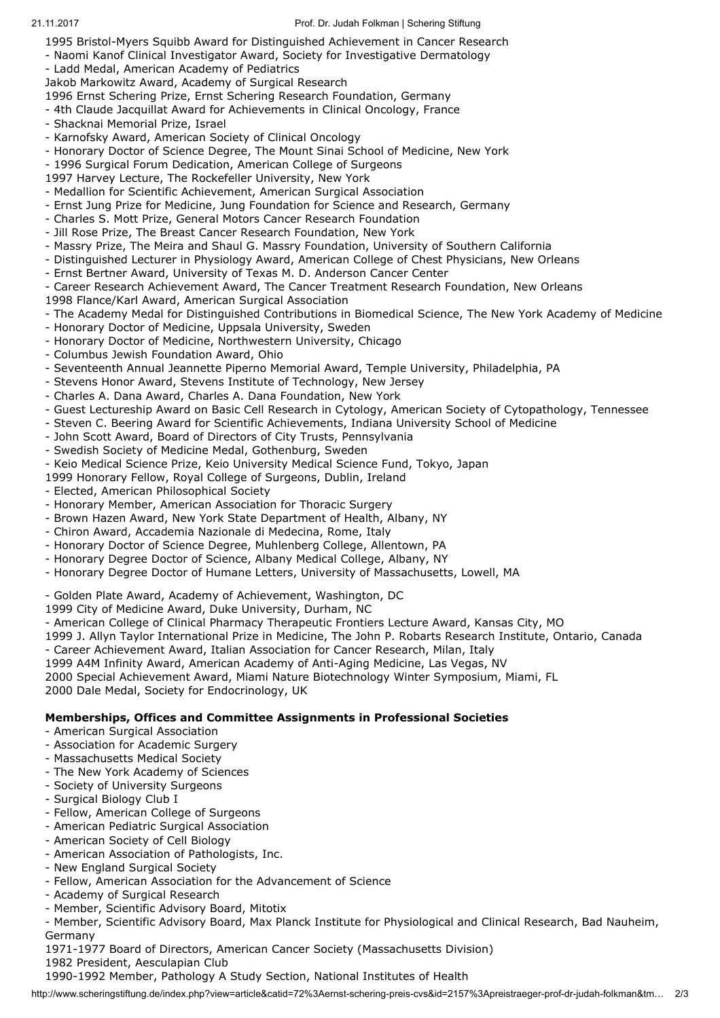1995 Bristol-Myers Squibb Award for Distinguished Achievement in Cancer Research

- Naomi Kanof Clinical Investigator Award, Society for Investigative Dermatology
- Ladd Medal, American Academy of Pediatrics
- Jakob Markowitz Award, Academy of Surgical Research
- 1996 Ernst Schering Prize, Ernst Schering Research Foundation, Germany
- 4th Claude Jacquillat Award for Achievements in Clinical Oncology, France
- Shacknai Memorial Prize, Israel
- Karnofsky Award, American Society of Clinical Oncology
- Honorary Doctor of Science Degree, The Mount Sinai School of Medicine, New York
- 1996 Surgical Forum Dedication, American College of Surgeons
- 1997 Harvey Lecture, The Rockefeller University, New York
- Medallion for Scientific Achievement, American Surgical Association
- Ernst Jung Prize for Medicine, Jung Foundation for Science and Research, Germany
- Charles S. Mott Prize, General Motors Cancer Research Foundation
- Jill Rose Prize, The Breast Cancer Research Foundation, New York
- Massry Prize, The Meira and Shaul G. Massry Foundation, University of Southern California
- Distinguished Lecturer in Physiology Award, American College of Chest Physicians, New Orleans
- Ernst Bertner Award, University of Texas M. D. Anderson Cancer Center
- Career Research Achievement Award, The Cancer Treatment Research Foundation, New Orleans
- 1998 Flance/Karl Award, American Surgical Association
- The Academy Medal for Distinguished Contributions in Biomedical Science, The New York Academy of Medicine
- Honorary Doctor of Medicine, Uppsala University, Sweden
- Honorary Doctor of Medicine, Northwestern University, Chicago
- Columbus Jewish Foundation Award, Ohio
- Seventeenth Annual Jeannette Piperno Memorial Award, Temple University, Philadelphia, PA
- Stevens Honor Award, Stevens Institute of Technology, New Jersey
- Charles A. Dana Award, Charles A. Dana Foundation, New York
- Guest Lectureship Award on Basic Cell Research in Cytology, American Society of Cytopathology, Tennessee
- Steven C. Beering Award for Scientific Achievements, Indiana University School of Medicine
- John Scott Award, Board of Directors of City Trusts, Pennsylvania
- Swedish Society of Medicine Medal, Gothenburg, Sweden
- Keio Medical Science Prize, Keio University Medical Science Fund, Tokyo, Japan
- 1999 Honorary Fellow, Royal College of Surgeons, Dublin, Ireland
- Elected, American Philosophical Society
- Honorary Member, American Association for Thoracic Surgery
- Brown Hazen Award, New York State Department of Health, Albany, NY
- Chiron Award, Accademia Nazionale di Medecina, Rome, Italy
- Honorary Doctor of Science Degree, Muhlenberg College, Allentown, PA
- Honorary Degree Doctor of Science, Albany Medical College, Albany, NY
- Honorary Degree Doctor of Humane Letters, University of Massachusetts, Lowell, MA

### - Golden Plate Award, Academy of Achievement, Washington, DC

- 1999 City of Medicine Award, Duke University, Durham, NC
- American College of Clinical Pharmacy Therapeutic Frontiers Lecture Award, Kansas City, MO
- 1999 J. Allyn Taylor International Prize in Medicine, The John P. Robarts Research Institute, Ontario, Canada
- Career Achievement Award, Italian Association for Cancer Research, Milan, Italy
- 1999 A4M Infinity Award, American Academy of Anti-Aging Medicine, Las Vegas, NV
- 2000 Special Achievement Award, Miami Nature Biotechnology Winter Symposium, Miami, FL

2000 Dale Medal, Society for Endocrinology, UK

## Memberships, Offices and Committee Assignments in Professional Societies

- American Surgical Association
- Association for Academic Surgery
- Massachusetts Medical Society
- The New York Academy of Sciences
- Society of University Surgeons
- Surgical Biology Club I
- Fellow, American College of Surgeons
- American Pediatric Surgical Association
- American Society of Cell Biology
- American Association of Pathologists, Inc.
- New England Surgical Society
- Fellow, American Association for the Advancement of Science
- Academy of Surgical Research
- Member, Scientific Advisory Board, Mitotix
- Member, Scientific Advisory Board, Max Planck Institute for Physiological and Clinical Research, Bad Nauheim, Germany

1971-1977 Board of Directors, American Cancer Society (Massachusetts Division)

1982 President, Aesculapian Club

1990-1992 Member, Pathology A Study Section, National Institutes of Health

http://www.scheringstiftung.de/index.php?view=article&catid=72%3Aernst-schering-preis-cvs&id=2157%3Apreistraeger-prof-dr-judah-folkman&tm… 2/3